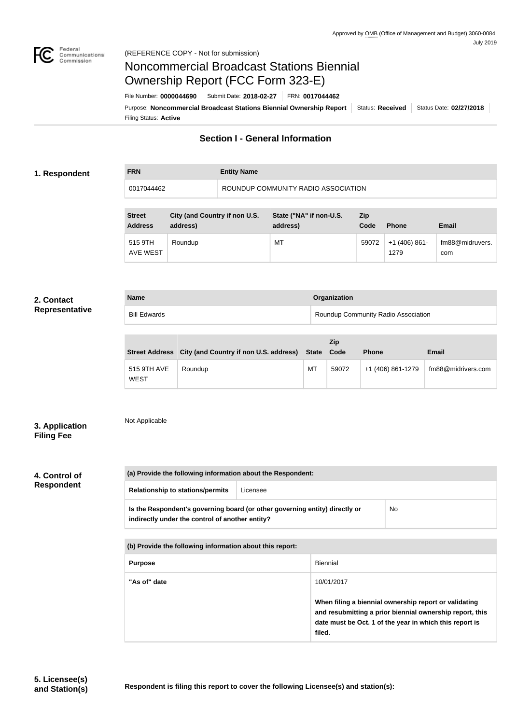

## Noncommercial Broadcast Stations Biennial Ownership Report (FCC Form 323-E)

Filing Status: **Active** Purpose: Noncommercial Broadcast Stations Biennial Ownership Report | Status: Received | Status Date: 02/27/2018 File Number: **0000044690** Submit Date: **2018-02-27** FRN: **0017044462**

#### **Section I - General Information**

#### **1. Respondent**

### **FRN Entity Name** 0017044462 ROUNDUP COMMUNITY RADIO ASSOCIATION

| <b>Street</b><br><b>Address</b> | City (and Country if non U.S.<br>address) | State ("NA" if non-U.S.<br>address) | Zip<br>Code | <b>Phone</b>          | <b>Email</b>           |
|---------------------------------|-------------------------------------------|-------------------------------------|-------------|-----------------------|------------------------|
| 515 9TH<br><b>AVE WEST</b>      | Roundup                                   | MT                                  | 59072       | $+1(406)861-$<br>1279 | fm88@midruvers.<br>com |

#### **2. Contact Representative**

| <b>Name</b>         | <b>Organization</b>                 |  |
|---------------------|-------------------------------------|--|
| <b>Bill Edwards</b> | Roundup Community Radio Association |  |

|                            | Street Address City (and Country if non U.S. address) State Code |    | <b>Zip</b> | <b>Phone</b>      | <b>Email</b>       |
|----------------------------|------------------------------------------------------------------|----|------------|-------------------|--------------------|
| 515 9TH AVE<br><b>WEST</b> | Roundup                                                          | МT | 59072      | +1 (406) 861-1279 | fm88@midrivers.com |

#### **3. Application Filing Fee**

Not Applicable

#### **4. Control of Respondent**

| (a) Provide the following information about the Respondent:                                                                    |          |                 |                                                       |  |  |  |
|--------------------------------------------------------------------------------------------------------------------------------|----------|-----------------|-------------------------------------------------------|--|--|--|
| <b>Relationship to stations/permits</b>                                                                                        | Licensee |                 |                                                       |  |  |  |
| Is the Respondent's governing board (or other governing entity) directly or<br>indirectly under the control of another entity? |          |                 | No.                                                   |  |  |  |
| (b) Provide the following information about this report:                                                                       |          |                 |                                                       |  |  |  |
| <b>Purpose</b>                                                                                                                 |          | <b>Biennial</b> |                                                       |  |  |  |
| "As of" date                                                                                                                   |          | 10/01/2017      |                                                       |  |  |  |
|                                                                                                                                |          |                 | When filing a biennial ownership report or validating |  |  |  |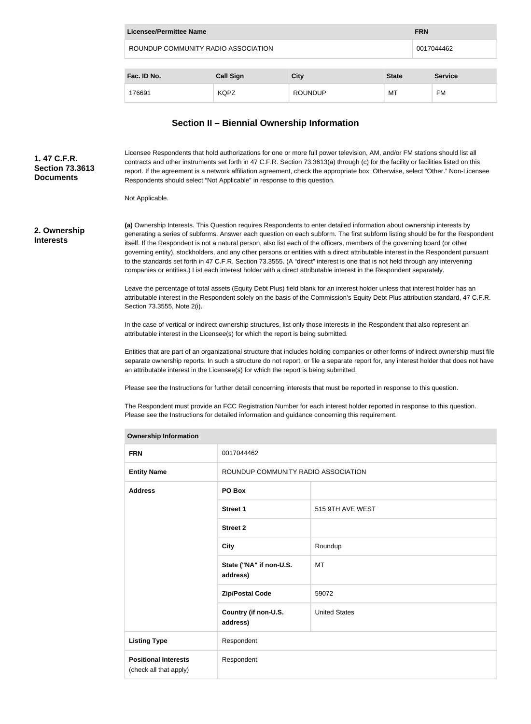| Licensee/Permittee Name             |                  |                |              |            |                |
|-------------------------------------|------------------|----------------|--------------|------------|----------------|
| ROUNDUP COMMUNITY RADIO ASSOCIATION |                  |                |              | 0017044462 |                |
| Fac. ID No.                         | <b>Call Sign</b> | <b>City</b>    | <b>State</b> |            | <b>Service</b> |
| 176691                              | <b>KQPZ</b>      | <b>ROUNDUP</b> | МT           |            | FM             |

#### **Section II – Biennial Ownership Information**

**(a)** Ownership Interests. This Question requires Respondents to enter detailed information about ownership interests by generating a series of subforms. Answer each question on each subform. The first subform listing should be for the Respondent itself. If the Respondent is not a natural person, also list each of the officers, members of the governing board (or other governing entity), stockholders, and any other persons or entities with a direct attributable interest in the Respondent pursuant to the standards set forth in 47 C.F.R. Section 73.3555. (A "direct" interest is one that is not held through any intervening companies or entities.) List each interest holder with a direct attributable interest in the Respondent separately. Leave the percentage of total assets (Equity Debt Plus) field blank for an interest holder unless that interest holder has an attributable interest in the Respondent solely on the basis of the Commission's Equity Debt Plus attribution standard, 47 C.F.R. Section 73.3555, Note 2(i). In the case of vertical or indirect ownership structures, list only those interests in the Respondent that also represent an attributable interest in the Licensee(s) for which the report is being submitted. Entities that are part of an organizational structure that includes holding companies or other forms of indirect ownership must file separate ownership reports. In such a structure do not report, or file a separate report for, any interest holder that does not have an attributable interest in the Licensee(s) for which the report is being submitted. Please see the Instructions for further detail concerning interests that must be reported in response to this question. The Respondent must provide an FCC Registration Number for each interest holder reported in response to this question. Please see the Instructions for detailed information and guidance concerning this requirement. **Ownership Information FRN** 0017044462 **Entity Name The ROUNDUP COMMUNITY RADIO ASSOCIATION Address PO Box Street 1** 515 9TH AVE WEST **Street 2 2. Ownership Interests** Licensee Respondents that hold authorizations for one or more full power television, AM, and/or FM stations should list all contracts and other instruments set forth in 47 C.F.R. Section 73.3613(a) through (c) for the facility or facilities listed on this report. If the agreement is a network affiliation agreement, check the appropriate box. Otherwise, select "Other." Non-Licensee Respondents should select "Not Applicable" in response to this question. Not Applicable. **1. 47 C.F.R. Section 73.3613 Documents**

| ROUNDUP COMMUNITY RADIO ASSOCIATION |                      |  |
|-------------------------------------|----------------------|--|
| PO Box                              |                      |  |
| Street 1                            | 515 9TH AVE WEST     |  |
| <b>Street 2</b>                     |                      |  |
| <b>City</b>                         | Roundup              |  |
| State ("NA" if non-U.S.<br>address) | MT                   |  |
| <b>Zip/Postal Code</b>              | 59072                |  |
| Country (if non-U.S.<br>address)    | <b>United States</b> |  |
| Respondent                          |                      |  |
| Respondent                          |                      |  |
|                                     |                      |  |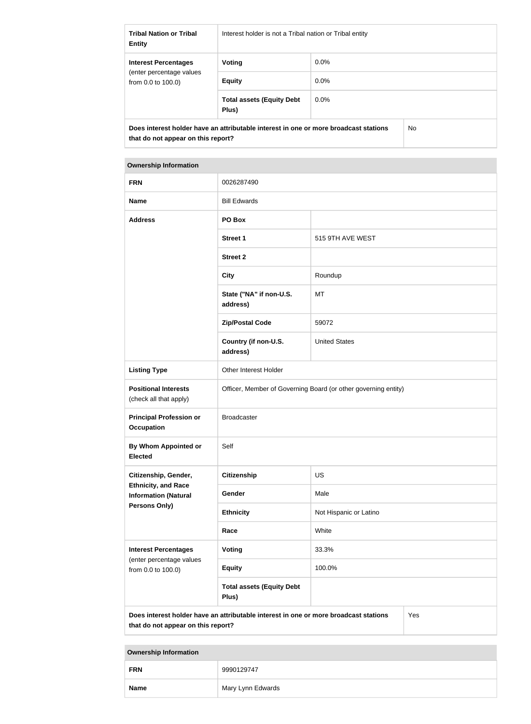| <b>Tribal Nation or Tribal</b><br><b>Entity</b>                                                                            | Interest holder is not a Tribal nation or Tribal entity |         |     |
|----------------------------------------------------------------------------------------------------------------------------|---------------------------------------------------------|---------|-----|
| <b>Interest Percentages</b>                                                                                                | Voting                                                  | $0.0\%$ |     |
| (enter percentage values)<br>from $0.0$ to $100.0$ )                                                                       | <b>Equity</b>                                           | $0.0\%$ |     |
|                                                                                                                            | <b>Total assets (Equity Debt</b><br>Plus)               | $0.0\%$ |     |
| Does interest holder have an attributable interest in one or more broadcast stations<br>that do not appear on this report? |                                                         |         | No. |

| <b>Ownership Information</b>                                                                                                      |                                                                |                        |  |  |  |
|-----------------------------------------------------------------------------------------------------------------------------------|----------------------------------------------------------------|------------------------|--|--|--|
| <b>FRN</b>                                                                                                                        | 0026287490                                                     |                        |  |  |  |
| <b>Name</b>                                                                                                                       | <b>Bill Edwards</b>                                            |                        |  |  |  |
| <b>Address</b>                                                                                                                    | PO Box                                                         |                        |  |  |  |
|                                                                                                                                   | <b>Street 1</b>                                                | 515 9TH AVE WEST       |  |  |  |
|                                                                                                                                   | <b>Street 2</b>                                                |                        |  |  |  |
|                                                                                                                                   | <b>City</b>                                                    | Roundup                |  |  |  |
|                                                                                                                                   | State ("NA" if non-U.S.<br>address)                            | MT                     |  |  |  |
|                                                                                                                                   | <b>Zip/Postal Code</b>                                         | 59072                  |  |  |  |
|                                                                                                                                   | Country (if non-U.S.<br>address)                               | <b>United States</b>   |  |  |  |
| <b>Listing Type</b>                                                                                                               | Other Interest Holder                                          |                        |  |  |  |
| <b>Positional Interests</b><br>(check all that apply)                                                                             | Officer, Member of Governing Board (or other governing entity) |                        |  |  |  |
| <b>Principal Profession or</b><br><b>Occupation</b>                                                                               | <b>Broadcaster</b>                                             |                        |  |  |  |
| By Whom Appointed or<br><b>Elected</b>                                                                                            | Self                                                           |                        |  |  |  |
| Citizenship, Gender,                                                                                                              | <b>Citizenship</b>                                             | US                     |  |  |  |
| <b>Ethnicity, and Race</b><br><b>Information (Natural</b>                                                                         | Gender                                                         | Male                   |  |  |  |
| Persons Only)                                                                                                                     | <b>Ethnicity</b>                                               | Not Hispanic or Latino |  |  |  |
|                                                                                                                                   | Race                                                           | White                  |  |  |  |
| <b>Interest Percentages</b><br>(enter percentage values                                                                           | <b>Voting</b>                                                  | 33.3%                  |  |  |  |
| from 0.0 to 100.0)                                                                                                                | <b>Equity</b>                                                  | 100.0%                 |  |  |  |
|                                                                                                                                   | <b>Total assets (Equity Debt</b><br>Plus)                      |                        |  |  |  |
| Does interest holder have an attributable interest in one or more broadcast stations<br>Yes<br>that do not appear on this report? |                                                                |                        |  |  |  |

# **Ownership Information FRN** 9990129747 **Name** Mary Lynn Edwards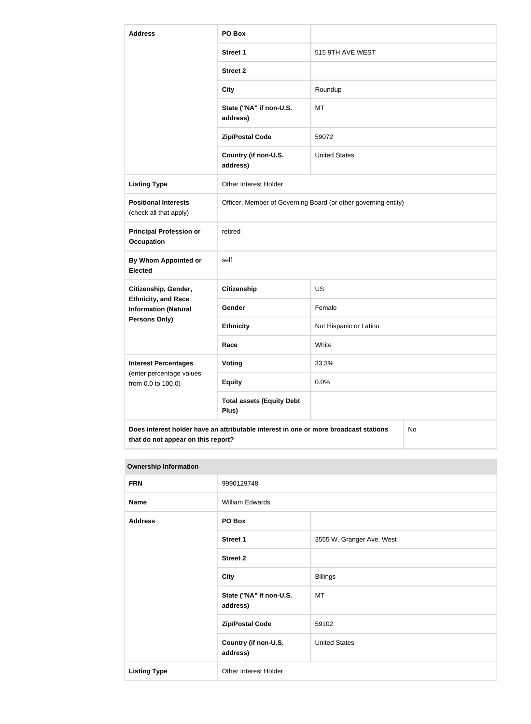| <b>Address</b>                                            | PO Box                                                                               |                        |    |  |
|-----------------------------------------------------------|--------------------------------------------------------------------------------------|------------------------|----|--|
|                                                           | <b>Street 1</b>                                                                      | 515 9TH AVE WEST       |    |  |
|                                                           | <b>Street 2</b>                                                                      |                        |    |  |
|                                                           | <b>City</b>                                                                          | Roundup                |    |  |
|                                                           | State ("NA" if non-U.S.<br>address)                                                  | MT                     |    |  |
|                                                           | <b>Zip/Postal Code</b>                                                               | 59072                  |    |  |
|                                                           | Country (if non-U.S.<br>address)                                                     | <b>United States</b>   |    |  |
| <b>Listing Type</b>                                       | Other Interest Holder                                                                |                        |    |  |
| <b>Positional Interests</b><br>(check all that apply)     | Officer, Member of Governing Board (or other governing entity)                       |                        |    |  |
| <b>Principal Profession or</b><br><b>Occupation</b>       | retired                                                                              |                        |    |  |
| <b>By Whom Appointed or</b><br><b>Elected</b>             | self                                                                                 |                        |    |  |
| Citizenship, Gender,                                      | <b>Citizenship</b>                                                                   | <b>US</b>              |    |  |
| <b>Ethnicity, and Race</b><br><b>Information (Natural</b> | Gender                                                                               | Female                 |    |  |
| Persons Only)                                             | <b>Ethnicity</b>                                                                     | Not Hispanic or Latino |    |  |
|                                                           | Race                                                                                 | White                  |    |  |
| <b>Interest Percentages</b><br>(enter percentage values   | <b>Voting</b>                                                                        | 33.3%                  |    |  |
| from 0.0 to 100.0)                                        | <b>Equity</b>                                                                        | 0.0%                   |    |  |
|                                                           | <b>Total assets (Equity Debt</b><br>Plus)                                            |                        |    |  |
|                                                           | Does interest holder have an attributable interest in one or more broadcast stations |                        | No |  |

| <b>Ownership Information</b> |                                     |                           |  |  |
|------------------------------|-------------------------------------|---------------------------|--|--|
| <b>FRN</b>                   | 9990129748                          |                           |  |  |
| <b>Name</b>                  | William Edwards                     |                           |  |  |
| <b>Address</b>               | PO Box                              |                           |  |  |
|                              | <b>Street 1</b>                     | 3555 W. Granger Ave. West |  |  |
|                              | <b>Street 2</b>                     |                           |  |  |
|                              | <b>City</b>                         | <b>Billings</b>           |  |  |
|                              | State ("NA" if non-U.S.<br>address) | MT                        |  |  |
|                              | <b>Zip/Postal Code</b>              | 59102                     |  |  |
|                              | Country (if non-U.S.<br>address)    | <b>United States</b>      |  |  |
| <b>Listing Type</b>          | Other Interest Holder               |                           |  |  |

**that do not appear on this report?**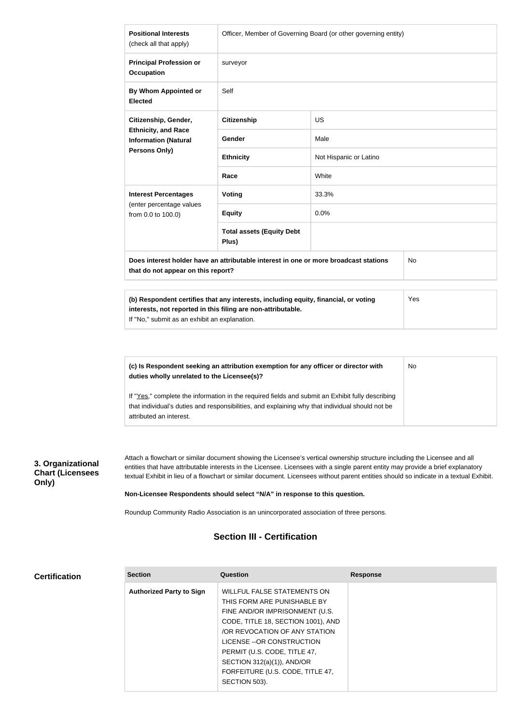| <b>Positional Interests</b><br>(check all that apply)                                                                                                                                                | Officer, Member of Governing Board (or other governing entity)                       |                        |           |  |
|------------------------------------------------------------------------------------------------------------------------------------------------------------------------------------------------------|--------------------------------------------------------------------------------------|------------------------|-----------|--|
| <b>Principal Profession or</b><br><b>Occupation</b>                                                                                                                                                  | surveyor                                                                             |                        |           |  |
| By Whom Appointed or<br><b>Elected</b>                                                                                                                                                               | Self                                                                                 |                        |           |  |
| Citizenship, Gender,<br><b>Ethnicity, and Race</b><br><b>Information (Natural</b><br>Persons Only)                                                                                                   | <b>Citizenship</b>                                                                   | <b>US</b>              |           |  |
|                                                                                                                                                                                                      | Gender                                                                               | Male                   |           |  |
|                                                                                                                                                                                                      | <b>Ethnicity</b>                                                                     | Not Hispanic or Latino |           |  |
|                                                                                                                                                                                                      | Race                                                                                 | White                  |           |  |
| <b>Interest Percentages</b>                                                                                                                                                                          | Voting                                                                               | 33.3%                  |           |  |
| (enter percentage values<br>from 0.0 to 100.0)                                                                                                                                                       | <b>Equity</b>                                                                        | 0.0%                   |           |  |
|                                                                                                                                                                                                      | <b>Total assets (Equity Debt</b><br>Plus)                                            |                        |           |  |
| that do not appear on this report?                                                                                                                                                                   | Does interest holder have an attributable interest in one or more broadcast stations |                        | <b>No</b> |  |
| (b) Respondent certifies that any interests, including equity, financial, or voting<br>interests, not reported in this filing are non-attributable.<br>If "No," submit as an exhibit an explanation. |                                                                                      |                        | Yes       |  |
|                                                                                                                                                                                                      |                                                                                      |                        |           |  |
| duties wholly unrelated to the Licensee(s)?                                                                                                                                                          | (c) Is Respondent seeking an attribution exemption for any officer or director with  |                        | No        |  |

If "Yes," complete the information in the required fields and submit an Exhibit fully describing that individual's duties and responsibilities, and explaining why that individual should not be attributed an interest.

**3. Organizational Chart (Licensees Only)**

Attach a flowchart or similar document showing the Licensee's vertical ownership structure including the Licensee and all entities that have attributable interests in the Licensee. Licensees with a single parent entity may provide a brief explanatory textual Exhibit in lieu of a flowchart or similar document. Licensees without parent entities should so indicate in a textual Exhibit.

**Non-Licensee Respondents should select "N/A" in response to this question.**

Roundup Community Radio Association is an unincorporated association of three persons.

#### **Section III - Certification**

| <b>Certification</b> |  |
|----------------------|--|
|----------------------|--|

| <b>Section</b>                  | Question                                                                                                                                                                                                                                                                                                               | <b>Response</b> |
|---------------------------------|------------------------------------------------------------------------------------------------------------------------------------------------------------------------------------------------------------------------------------------------------------------------------------------------------------------------|-----------------|
| <b>Authorized Party to Sign</b> | WILLFUL FALSE STATEMENTS ON<br>THIS FORM ARE PUNISHABLE BY<br>FINE AND/OR IMPRISONMENT (U.S.<br>CODE, TITLE 18, SECTION 1001), AND<br>OR REVOCATION OF ANY STATION<br>LICENSE -- OR CONSTRUCTION<br>PERMIT (U.S. CODE, TITLE 47,<br>SECTION $312(a)(1)$ ), AND/OR<br>FORFEITURE (U.S. CODE, TITLE 47,<br>SECTION 503). |                 |